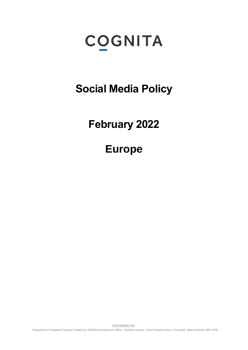# **COGNITA**

**Social Media Policy** 

# **February 2022**

# **Europe**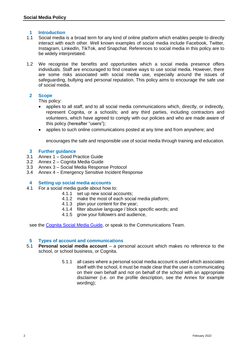# **1 Introduction**

- 1.1 Social media is a broad term for any kind of online platform which enables people to directly interact with each other. Well known examples of social media include Facebook, Twitter, Instagram, LinkedIn, TikTok, and Snapchat. References to social media in this policy are to be widely interpretated.
- 1.2 We recognise the benefits and opportunities which a social media presence offers individuals. Staff are encouraged to find creative ways to use social media. However, there are some risks associated with social media use, especially around the issues of safeguarding, bullying and personal reputation. This policy aims to encourage the safe use of social media.

# **2 Scope**

This policy:

- applies to all staff, and to all social media communications which, directly, or indirectly, represent Cognita, or a school/s; and any third parties, including contractors and volunteers, which have agreed to comply with our policies and who are made aware of this policy (hereafter "users");
- applies to such online communications posted at any time and from anywhere; and

encourages the safe and responsible use of social media through training and education.

# **3 Further guidance**

- 3.1 Annex 1 Good Practice Guide
- 3.2 Annex 2 Cognita Media Guide
- 3.3 Annex 3 Social Media Response Protocol
- 3.4 Annex 4 Emergency Sensitive Incident Response

#### <span id="page-1-0"></span>**4 Setting up social media accounts**

- 4.1 For a social media guide about how to:
	- 4.1.1 set up new social accounts;
	- 4.1.2 make the most of each social media platform;
	- 4.1.3 plan your content for the year;
	- 4.1.4 filter abusive language / block specific words; and
	- 4.1.5 grow your followers and audience,

see the [Cognita Social Media Guide,](https://docs.google.com/presentation/d/1Ou8Xhv-TdaN3aXnJ0jgx36o86WdRbC11/edit?usp=sharing&ouid=108010601944200901720&rtpof=true&sd=true) or speak to the Communications Team.

#### **5 Types of account and communications**

- 5.1 **Personal social media account** a personal account which makes no reference to the school, or school business, or Cognita.
	- 5.1.1 all cases where a personal social media account is used which associates itself with the school, it must be made clear that the user is communicating on their own behalf and not on behalf of the school with an appropriate disclaimer (i.e. on the profile description, see the Annex for example wording);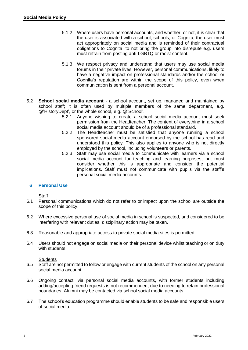- 5.1.2 Where users have personal accounts, and whether, or not, it is clear that the user is associated with a school, schools, or Cognita, the user must act appropriately on social media and is reminded of their contractual obligations to Cognita, to not bring the group into disrepute e.g. users must refrain from posting anti-LGBTQ or racist content.
- 5.1.3 We respect privacy and understand that users may use social media forums in their private lives. However, personal communications, likely to have a negative impact on professional standards and/or the school or Cognita's reputation are within the scope of this policy, even when communication is sent from a personal account.
- 5.2 **School social media account** a school account, set up, managed and maintained by school staff; it is often used by multiple members of the same department, e.g. @'HistoryDept', or the whole school, e.g. @'School'.
	- 5.2.1 Anyone wishing to create a school social media account must seek permission from the Headteacher. The content of everything in a school social media account should be of a professional standard.
	- 5.2.2 The Headteacher must be satisfied that anyone running a school sponsored social media account endorsed by the school has read and understood this policy. This also applies to anyone who is not directly employed by the school, including volunteers or parents.
	- 5.2.3 Staff may use social media to communicate with learners via a school social media account for teaching and learning purposes, but must consider whether this is appropriate and consider the potential implications. Staff must not communicate with pupils via the staff's personal social media accounts.

# **6 Personal Use**

**Staff** 

- 6.1 Personal communications which do not refer to or impact upon the school are outside the scope of this policy.
- 6.2 Where excessive personal use of social media in school is suspected, and considered to be interfering with relevant duties, disciplinary action may be taken.
- 6.3 Reasonable and appropriate access to private social media sites is permitted.
- 6.4 Users should not engage on social media on their personal device whilst teaching or on duty with students.

#### **Students**

- 6.5 Staff are not permitted to follow or engage with current students of the school on any personal social media account.
- 6.6 Ongoing contact, via personal social media accounts, with former students including adding/accepting friend requests is not recommended, due to needing to retain professional boundaries. Alumni may be contacted via school social media accounts.
- 6.7 The school's education programme should enable students to be safe and responsible users of social media.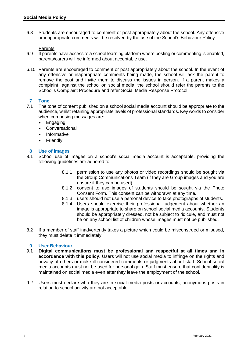6.8 Students are encouraged to comment or post appropriately about the school. Any offensive or inappropriate comments will be resolved by the use of the School's Behaviour Policy

#### **Parents**

- 6.9 If parents have access to a school learning platform where posting or commenting is enabled, parents/carers will be informed about acceptable use.
- 6.10 Parents are encouraged to comment or post appropriately about the school. In the event of any offensive or inappropriate comments being made, the school will ask the parent to remove the post and invite them to discuss the issues in person. If a parent makes a complaint against the school on social media, the school should refer the parents to the School's Complaint Procedure and refer Social Media Response Protocol.

# **7 Tone**

- 7.1 The tone of content published on a school social media account should be appropriate to the audience, whilst retaining appropriate levels of professional standards. Key words to consider when composing messages are:
	- Engaging
	- Conversational
	- Informative
	- Friendly

# **8 Use of images**

- 8.1 School use of images on a school's social media account is acceptable, providing the following guidelines are adhered to:
	- 8.1.1 permission to use any photos or video recordings should be sought via the Group Communications Team (if they are Group images and you are unsure if they can be used).
	- 8.1.2 consent to use images of students should be sought via the Photo Consent Form. This consent can be withdrawn at any time.
	- 8.1.3 users should not use a personal device to take photographs of students.
	- 8.1.4 Users should exercise their professional judgement about whether an image is appropriate to share on school social media accounts. Students should be appropriately dressed, not be subject to ridicule, and must not be on any school list of children whose images must not be published.
- 8.2 If a member of staff inadvertently takes a picture which could be misconstrued or misused, they must delete it immediately.

# **9 User Behaviour**

- 9.1 **Digital communications must be professional and respectful at all times and in accordance with this policy**. Users will not use social media to infringe on the rights and privacy of others or make ill-considered comments or judgments about staff. School social media accounts must not be used for personal gain. Staff must ensure that confidentiality is maintained on social media even after they leave the employment of the school.
- 9.2 Users must declare who they are in social media posts or accounts; anonymous posts in relation to school activity are not acceptable.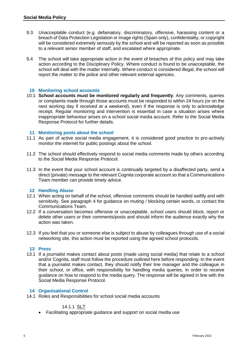- 9.3 Unacceptable conduct (e.g. defamatory, discriminatory, offensive, harassing content or a breach of Data Protection Legislation or image rights (Spain only), confidentiality, or copyright will be considered extremely seriously by the school and will be reported as soon as possible to a relevant senior member of staff, and escalated where appropriate.
- 9.4 The school will take appropriate action in the event of breaches of this policy and may take action according to the Disciplinary Policy. Where conduct is found to be unacceptable, the school will deal with the matter internally. Where conduct is considered illegal, the school will report the matter to the police and other relevant external agencies.

# **10 Monitoring school accounts**

10.1 **School accounts must be monitored regularly and frequently**. Any comments, queries or complaints made through those accounts must be responded to within 24 hours (or on the next working day if received at a weekend), even if the response is only to acknowledge receipt. Regular monitoring and intervention is essential in case a situation arises where inappropriate behaviour arises on a school social media account. Refer to the Social Media Response Protocol for further details.

#### **11 Monitoring posts about the school**

- 11.1 As part of active social media engagement, it is considered good practice to pro-actively monitor the internet for public postings about the school.
- 11.2 The school should effectively respond to social media comments made by others according to the Social Media Response Protocol.
- 11.3 In the event that your school account is continually targeted by a disaffected party, send a direct (private) message to the relevant Cognita corporate account so that a Communications Team member can provide timely advice.

#### **12 Handling Abuse**

- 12.1 When acting on behalf of the school, offensive comments should be handled swiftly and with sensitivity. See paragraph [4](#page-1-0) for guidance on muting / blocking certain words, or contact the Communications Team.
- 12.2 If a conversation becomes offensive or unacceptable, school users should block, report or delete other users or their comments/posts and should inform the audience exactly why the action was taken.
- 12.3 If you feel that you or someone else is subject to abuse by colleagues through use of a social networking site, this action must be reported using the agreed school protocols.

# **13 Press**

13.1 If a journalist makes contact about posts (made using social media) that relate to a school and/or Cognita, staff must follow the procedure outlined here before responding: In the event that a journalist makes contact, they should notify their line manager and the colleague in their school, or office, with responsibility for handling media queries, in order to receive guidance on how to respond to the media query. The response will be agreed in line with the Social Media Response Protocol.

# **14 Organisational Control**

14.1 Roles and Responsibilities for school social media accounts

#### 14.1.1 SLT

Facilitating appropriate guidance and support on social media use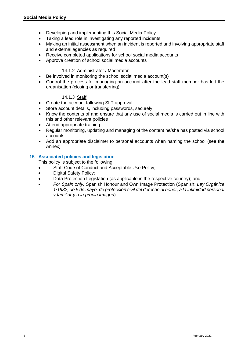- Developing and implementing this Social Media Policy
- Taking a lead role in investigating any reported incidents
- Making an initial assessment when an incident is reported and involving appropriate staff and external agencies as required
- Receive completed applications for school social media accounts
- Approve creation of school social media accounts

# 14.1.2 Administrator / Moderator

- Be involved in monitoring the school social media account(s)
- Control the process for managing an account after the lead staff member has left the organisation (closing or transferring)

# 14.1.3 Staff

- Create the account following SLT approval
- Store account details, including passwords, securely
- Know the contents of and ensure that any use of social media is carried out in line with this and other relevant policies
- Attend appropriate training
- Regular monitoring, updating and managing of the content he/she has posted via school accounts
- Add an appropriate disclaimer to personal accounts when naming the school (see the Annex)

# **15 Associated policies and legislation**

This policy is subject to the following:

- Staff Code of Conduct and Acceptable Use Policy;
- Digital Safety Policy;
- Data Protection Legislation (as applicable in the respective country); and
- *For Spain only,* Spanish Honour and Own Image Protection (Spanish: *Ley Orgánica 1/1982, de 5 de mayo, de protección civil del derecho al honor, a la intimidad personal y familiar y a la propia imagen*).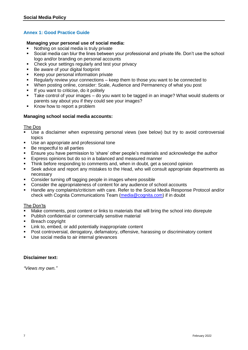# **Annex 1: Good Practice Guide**

# **Managing your personal use of social media:**

- Nothing on social media is truly private
- Social media can blur the lines between your professional and private life. Don't use the school logo and/or branding on personal accounts
- Check your settings regularly and test your privacy
- Be aware of your digital footprint
- Keep your personal information private
- Regularly review your connections keep them to those you want to be connected to
- When posting online, consider: Scale, Audience and Permanency of what you post
- If you want to criticise, do it politely
- Take control of your images do you want to be tagged in an image? What would students or parents say about you if they could see your images?
- Know how to report a problem

# **Managing school social media accounts:**

#### The Dos

- Use a disclaimer when expressing personal views (see below) but try to avoid controversial topics
- Use an appropriate and professional tone
- Be respectful to all parties
- Ensure you have permission to 'share' other people's materials and acknowledge the author
- Express opinions but do so in a balanced and measured manner
- Think before responding to comments and, when in doubt, get a second opinion
- Seek advice and report any mistakes to the Head, who will consult appropriate departments as necessary
- Consider turning off tagging people in images where possible
- Consider the appropriateness of content for any audience of school accounts
- Handle any complaints/criticism with care. Refer to the Social Media Response Protocol and/or check with Cognita Communications Team [\(media@cognita.com\)](mailto:media@cognita.com) if in doubt

#### The Don'ts

- Make comments, post content or links to materials that will bring the school into disrepute
- Publish confidential or commercially sensitive material
- **Breach copyright**
- **EXEC** Link to, embed, or add potentially inappropriate content
- Post controversial, derogatory, defamatory, offensive, harassing or discriminatory content
- **Use social media to air internal grievances**

#### **Disclaimer text:**

*"Views my own."*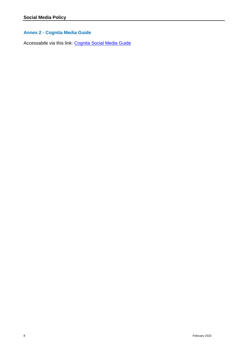# **Annex 2 - Cognita Media Guide**

Accessabile via this link: [Cognita Social Media Guide](https://docs.google.com/presentation/d/1Ou8Xhv-TdaN3aXnJ0jgx36o86WdRbC11/edit?usp=sharing&ouid=108010601944200901720&rtpof=true&sd=true)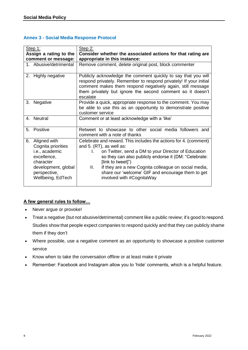# **Annex 3 - Social Media Response Protocol**

| Step 1:<br>Assign a rating to the                                                                                                                  | Step 2:<br>Consider whether the associated actions for that rating are                                                                                                                                                                                                                                                                                                                             |
|----------------------------------------------------------------------------------------------------------------------------------------------------|----------------------------------------------------------------------------------------------------------------------------------------------------------------------------------------------------------------------------------------------------------------------------------------------------------------------------------------------------------------------------------------------------|
| comment or message:                                                                                                                                | appropriate in this instance:                                                                                                                                                                                                                                                                                                                                                                      |
| 1. Abusive/detrimental                                                                                                                             | Remove comment, delete original post, block commenter                                                                                                                                                                                                                                                                                                                                              |
| Highly negative<br>2.                                                                                                                              | Publicly acknowledge the comment quickly to say that you will<br>respond privately. Remember to respond privately! If your initial<br>comment makes them respond negatively again, still message<br>them privately but ignore the second comment so it doesn't<br>escalate                                                                                                                         |
| Negative<br>3.                                                                                                                                     | Provide a quick, appropriate response to the comment. You may<br>be able to use this as an opportunity to demonstrate positive<br>customer service                                                                                                                                                                                                                                                 |
| 4. Neutral                                                                                                                                         | Comment or at least acknowledge with a 'like'                                                                                                                                                                                                                                                                                                                                                      |
| Positive<br>5.                                                                                                                                     | Retweet to showcase to other social media followers and<br>comment with a note of thanks                                                                                                                                                                                                                                                                                                           |
| Aligned with<br>6.<br>Cognita priorities<br>i.e., academic<br>excellence,<br>character<br>development, global<br>perspective,<br>Wellbeing, EdTech | Celebrate and reward. This includes the actions for 4. (comment)<br>and 5. (RT), as well as:<br>on Twitter, send a DM to your Director of Education<br>$\mathbf{L}$<br>so they can also publicly endorse it (DM: "Celebrate:<br>(link to tweet]")<br>II.<br>If they are a new Cognita colleague on social media,<br>share our 'welcome' GIF and encourage them to get<br>involved with #CognitaWay |

# **A few general rules to follow…**

- Never argue or provoke!
- Treat a negative (but not abusive/detrimental) comment like a public review; it's good to respond. Studies show that people expect companies to respond quickly and that they can publicly shame them if they don't
- Where possible, use a negative comment as an opportunity to showcase a positive customer service
- Know when to take the conversation offline or at least make it private
- Remember: Facebook and Instagram allow you to 'hide' comments, which is a helpful feature.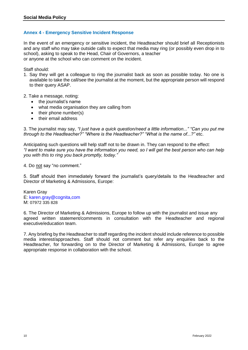# **Annex 4 - Emergency Sensitive Incident Response**

In the event of an emergency or sensitive incident, the Headteacher should brief all Receptionists and any staff who may take outside calls to expect that media may ring (or possibly even drop in to school), asking to speak to the Head, Chair of Governors, a teacher or anyone at the school who can comment on the incident.

Staff should:

- 1. Say they will get a colleague to ring the journalist back as soon as possible today. No one is available to take the call/see the journalist at the moment, but the appropriate person will respond to their query ASAP.
- 2. Take a message, noting:
	- the journalist's name
	- what media organisation they are calling from
	- $\bullet$  their phone number(s)
	- their email address

3. The journalist may say, *"I just have a quick question/need a little information..." "Can you put me through to the Headteacher?" "Where is the Headteacher?" "What is the name of...?"* etc.

Anticipating such questions will help staff not to be drawn in. They can respond to the effect: *"I want to make sure you have the information you need, so I will get the best person who can help you with this to ring you back promptly, today."*

4. Do not say "no comment."

5. Staff should then immediately forward the journalist's query/details to the Headteacher and Director of Marketing & Admissions, Europe:

Karen Gray E: karen.gray@cognita,com M: 07972 335 828

6. The Director of Marketing & Admissions, Europe to follow up with the journalist and issue any agreed written statement/comments in consultation with the Headteacher and regional executive/education team.

7. Any briefing by the Headteacher to staff regarding the incident should include reference to possible media interest/approaches. Staff should not comment but refer any enquiries back to the Headteacher, for forwarding on to the Director of Marketing & Admissions, Europe to agree appropriate response in collaboration with the school.